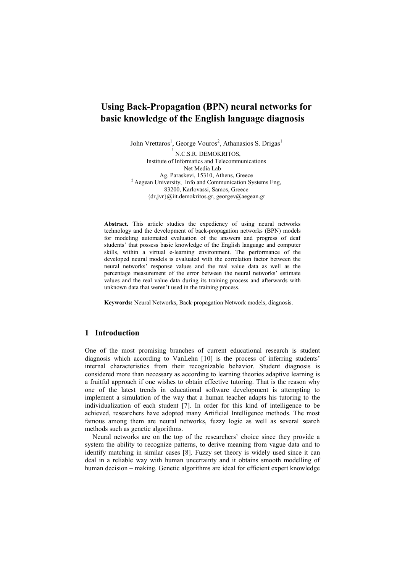# **Using Back-Propagation (BPN) neural networks for basic knowledge of the English language diagnosis**

John Vrettaros<sup>1</sup>, George Vouros<sup>2</sup>, Athanasios S. Drigas<sup>1</sup>

1 N.C.S.R. DEMOKRITOS, Institute of Informatics and Telecommunications Net Media Lab Ag. Paraskevi, 15310, Athens, Greece <sup>2</sup> Aegean University, Info and Communication Systems Eng, 83200, Karlovassi, Samos, Greece {dr,jvr}@iit.demokritos.gr, georgev@aegean.gr

**Abstract.** This article studies the expediency of using neural networks technology and the development of back-propagation networks (BPN) models for modeling automated evaluation of the answers and progress of deaf students' that possess basic knowledge of the English language and computer skills, within a virtual e-learning environment. The performance of the developed neural models is evaluated with the correlation factor between the neural networks' response values and the real value data as well as the percentage measurement of the error between the neural networks' estimate values and the real value data during its training process and afterwards with unknown data that weren't used in the training process.

**Keywords:** Neural Networks, Back-propagation Network models, diagnosis.

### **1 Introduction**

One of the most promising branches of current educational research is student diagnosis which according to VanLehn [10] is the process of inferring students' internal characteristics from their recognizable behavior. Student diagnosis is considered more than necessary as according to learning theories adaptive learning is a fruitful approach if one wishes to obtain effective tutoring. That is the reason why one of the latest trends in educational software development is attempting to implement a simulation of the way that a human teacher adapts his tutoring to the individualization of each student [7]. In order for this kind of intelligence to be achieved, researchers have adopted many Artificial Intelligence methods. The most famous among them are neural networks, fuzzy logic as well as several search methods such as genetic algorithms.

Neural networks are on the top of the researchers' choice since they provide a system the ability to recognize patterns, to derive meaning from vague data and to identify matching in similar cases [8]. Fuzzy set theory is widely used since it can deal in a reliable way with human uncertainty and it obtains smooth modelling of human decision – making. Genetic algorithms are ideal for efficient expert knowledge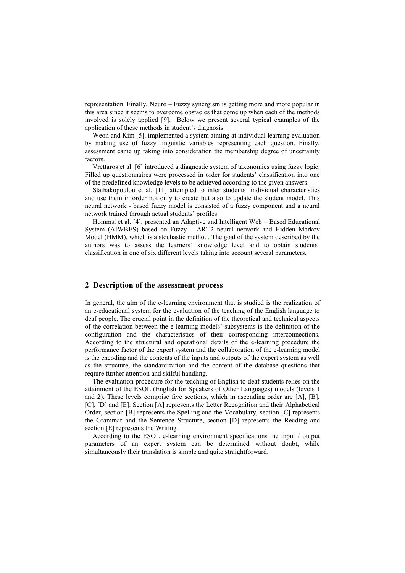representation. Finally, Neuro – Fuzzy synergism is getting more and more popular in this area since it seems to overcome obstacles that come up when each of the methods involved is solely applied [9]. Below we present several typical examples of the application of these methods in student's diagnosis.

Weon and Kim [5], implemented a system aiming at individual learning evaluation by making use of fuzzy linguistic variables representing each question. Finally, assessment came up taking into consideration the membership degree of uncertainty factors.

Vrettaros et al. [6] introduced a diagnostic system of taxonomies using fuzzy logic. Filled up questionnaires were processed in order for students' classification into one of the predefined knowledge levels to be achieved according to the given answers.

Stathakopoulou et al. [11] attempted to infer students' individual characteristics and use them in order not only to create but also to update the student model. This neural network - based fuzzy model is consisted of a fuzzy component and a neural network trained through actual students' profiles.

Hommsi et al. [4], presented an Adaptive and Intelligent Web – Based Educational System (AIWBES) based on Fuzzy – ART2 neural network and Hidden Markov Model (HMM), which is a stochastic method. The goal of the system described by the authors was to assess the learners' knowledge level and to obtain students' classification in one of six different levels taking into account several parameters.

### **2 Description of the assessment process**

In general, the aim of the e-learning environment that is studied is the realization of an e-educational system for the evaluation of the teaching of the English language to deaf people. The crucial point in the definition of the theoretical and technical aspects of the correlation between the e-learning models' subsystems is the definition of the configuration and the characteristics of their corresponding interconnections. According to the structural and operational details of the e-learning procedure the performance factor of the expert system and the collaboration of the e-learning model is the encoding and the contents of the inputs and outputs of the expert system as well as the structure, the standardization and the content of the database questions that require further attention and skilful handling.

The evaluation procedure for the teaching of English to deaf students relies on the attainment of the ESOL (English for Speakers of Other Languages) models (levels 1 and 2). These levels comprise five sections, which in ascending order are [A], [B], [C], [D] and [E]. Section [A] represents the Letter Recognition and their Alphabetical Order, section [B] represents the Spelling and the Vocabulary, section [C] represents the Grammar and the Sentence Structure, section [D] represents the Reading and section [E] represents the Writing.

According to the ESOL e-learning environment specifications the input / output parameters of an expert system can be determined without doubt, while simultaneously their translation is simple and quite straightforward.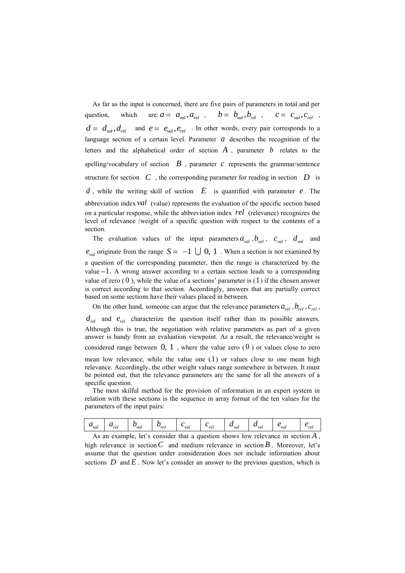As far as the input is concerned, there are five pairs of parameters in total and per question, which are:  $a = a_{val}, a_{rel}$ ,  $b = b_{val}, b_{rel}$ ,  $c = c_{val}, c_{rel}$ ,  $d = d_{val}, d_{rel}$  and  $e = e_{val}, e_{rel}$ . In other words, every pair corresponds to a language section of a certain level. Parameter *a* describes the recognition of the letters and the alphabetical order of section *A* , parameter *b* relates to the spelling/vocabulary of section  $\mathbf{B}$ , parameter  $\mathbf{c}$  represents the grammar/sentence structure for section  $C$ , the corresponding parameter for reading in section  $D$  is *d* , while the writing skill of section *E* is quantified with parameter *e* . The abbreviation index *val* (value) represents the evaluation of the specific section based on a particular response, while the abbreviation index *rel* (relevance) recognizes the level of relevance /weight of a specific question with respect to the contents of a section.

The evaluation values of the input parameters  $a_{val}$ ,  $b_{val}$ ,  $c_{val}$ ,  $d_{val}$  and  $e_{\text{val}}$  originate from the range  $S = -1 \cup 0, 1$ . When a section is not examined by a question of the corresponding parameter, then the range is characterized by the value 1 . A wrong answer according to a certain section leads to a corresponding value of zero  $(0)$ , while the value of a sections' parameter is  $(1)$  if the chosen answer is correct according to that section. Accordingly, answers that are partially correct based on some sections have their values placed in between.

On the other hand, someone can argue that the relevance parameters  $a_{rel}$  ,  $b_{rel}$  ,  $c_{rel}$  ,  $d_{rel}$  and  $e_{rel}$  characterize the question itself rather than its possible answers. Although this is true, the negotiation with relative parameters as part of a given answer is handy from an evaluation viewpoint. As a result, the relevance/weight is considered range between  $0, 1$ , where the value zero  $(0)$  or values close to zero

mean low relevance, while the value one ( 1 ) or values close to one mean high relevance. Accordingly, the other weight values range somewhere in between. It must be pointed out, that the relevance parameters are the same for all the answers of a specific question.

The most skilful method for the provision of information in an expert system in relation with these sections is the sequence in array format of the ten values for the parameters of the input pairs:

|  | $u_{val}$ | $\mathbf{u}_{rel}$ | ັ<br>vai | ◡<br>rel | ັ<br>`vai | ັ<br>ret | $\mathcal{L}_{val}$ | $u_{rel}$ | `vai | ro<br>, |
|--|-----------|--------------------|----------|----------|-----------|----------|---------------------|-----------|------|---------|
|--|-----------|--------------------|----------|----------|-----------|----------|---------------------|-----------|------|---------|

As an example, let's consider that a question shows low relevance in section *A* , high relevance in section  $C$  and medium relevance in section  $B$ . Moreover, let's assume that the question under consideration does not include information about sections  $D$  and  $E$ . Now let's consider an answer to the previous question, which is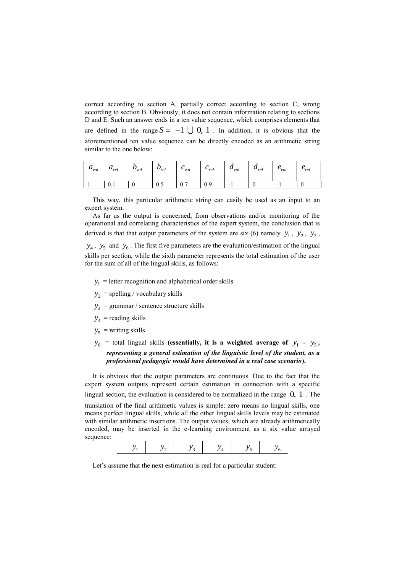correct according to section A, partially correct according to section C, wrong according to section B. Obviously, it does not contain information relating to sections D and E. Such an answer ends in a ten value sequence, which comprises elements that are defined in the range  $S = -1 \cup 0, 1$ . In addition, it is obvious that the aforementioned ten value sequence can be directly encoded as an arithmetic string similar to the one below:

| $u_{val}$ | $u_{rel}$ | $v_{val}$ | $v_{rel}$ | $v_{val}$ | $\mathbf{v}_{rel}$ | $u_{val}$                | $u_{rel}$ | $v_{val}$ | $\mathcal{L}_{rel}$ |
|-----------|-----------|-----------|-----------|-----------|--------------------|--------------------------|-----------|-----------|---------------------|
|           | U.1       |           | U.J       | v. 1      | 0.5                | $\overline{\phantom{0}}$ |           | -         |                     |

This way, this particular arithmetic string can easily be used as an input to an expert system.

As far as the output is concerned, from observations and/or monitoring of the operational and correlating characteristics of the expert system, the conclusion that is derived is that that output parameters of the system are six (6) namely  $y_1$ ,  $y_2$ ,  $y_3$ ,  $y_4$ ,  $y_5$  and  $y_6$ . The first five parameters are the evaluation/estimation of the lingual skills per section, while the sixth parameter represents the total estimation of the user for the sum of all of the lingual skills, as follows:

- $y_1$  = letter recognition and alphabetical order skills
- $y_2$  = spelling / vocabulary skills
- $y_3$  = grammar / sentence structure skills
- $y_4$  = reading skills
- $y_5$  = writing skills
- $y_6$  = total lingual skills (essentially, it is a weighted average of  $y_1 y_5$ , *representing a general estimation of the linguistic level of the student, as a professional pedagogic would have determined in a real case scenario***).**

It is obvious that the output parameters are continuous. Due to the fact that the expert system outputs represent certain estimation in connection with a specific lingual section, the evaluation is considered to be normalized in the range 0, 1 . The translation of the final arithmetic values is simple: zero means no lingual skills, one means perfect lingual skills, while all the other lingual skills levels may be estimated with similar arithmetic insertions. The output values, which are already arithmetically encoded, may be inserted in the e-learning environment as a six value arrayed sequence:

|--|

Let's assume that the next estimation is real for a particular student: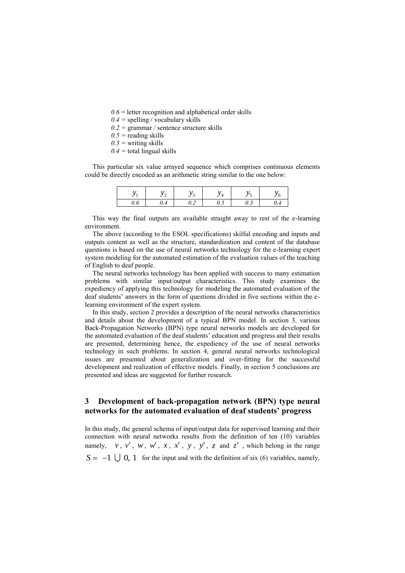$0.6$  = letter recognition and alphabetical order skills

- *0.4 =* spelling / vocabulary skills
- $0.2$  = grammar / sentence structure skills
- $0.5$  = reading skills
- $0.3$  = writing skills
- *0.4 =* total lingual skills

This particular six value arrayed sequence which comprises continuous elements could be directly encoded as an arithmetic string similar to the one below:

|         | ۰                 | . . |                                                         |  |
|---------|-------------------|-----|---------------------------------------------------------|--|
| $\cdot$ | $\sim$<br>$\cdot$ |     | $\boldsymbol{\mathcal{S}}\cdot\boldsymbol{\mathcal{S}}$ |  |

This way the final outputs are available straight away to rest of the e-learning environment.

The above (according to the ESOL specifications) skilful encoding and inputs and outputs content as well as the structure, standardization and content of the database questions is based on the use of neural networks technology for the e-learning expert system modeling for the automated estimation of the evaluation values of the teaching of English to deaf people.

The neural networks technology has been applied with success to many estimation problems with similar input/output characteristics. This study examines the expediency of applying this technology for modeling the automated evaluation of the deaf students' answers in the form of questions divided in five sections within the elearning environment of the expert system.

In this study, section 2 provides a description of the neural networks characteristics and details about the development of a typical BPN model. In section 3, various Back-Propagation Networks (BPN) type neural networks models are developed for the automated evaluation of the deaf students' education and progress and their results are presented, determining hence, the expediency of the use of neural networks technology in such problems. In section 4, general neural networks technological issues are presented about generalization and over-fitting for the successful development and realization of effective models. Finally, in section 5 conclusions are presented and ideas are suggested for further research.

## **3 Development of back-propagation network (BPN) type neural networks for the automated evaluation of deaf students' progress**

In this study, the general schema of input/output data for supervised learning and their connection with neural networks results from the definition of ten (10) variables namely, v, v', w, w', x, x', y, y', z and z', which belong in the range  $S = -1 \cup 0$ , 1 for the input and with the definition of six (6) variables, namely,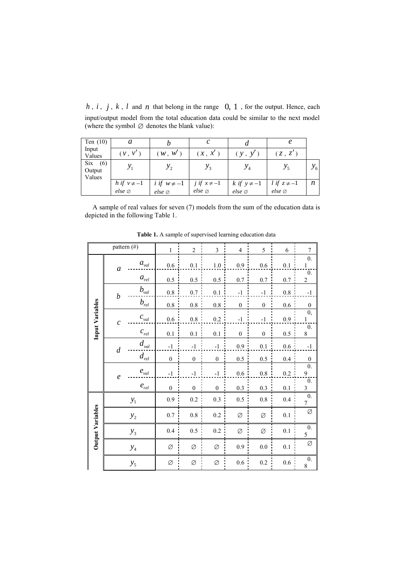$h, i, j, k, l$  and  $n$  that belong in the range  $0, 1$ , for the output. Hence, each input/output model from the total education data could be similar to the next model (where the symbol  $\varnothing$  denotes the blank value):

| Ten $(10)$                  | a                |                    |                    |                    |                  |                 |
|-----------------------------|------------------|--------------------|--------------------|--------------------|------------------|-----------------|
| Input<br>Values             | $(\nu, \nu')$    | (W, W')            | (x, x')            | (y, y')            | (z, z')          |                 |
| Six (6)<br>Output<br>Values |                  | $y_{2}$            |                    |                    | $y_{5}$          | $\mathcal{Y}_6$ |
|                             | h if $v \neq -1$ | i if $w \neq -1$   | j if $x \neq -1$   | k if $y \neq -1$   | l if $z \neq -1$ | n               |
|                             | else             | $else \varnothing$ | $else \varnothing$ | $else \varnothing$ | else             |                 |

A sample of real values for seven (7) models from the sum of the education data is depicted in the following Table 1.

|                         |                  | pattern (#)                     | $\mathbf{1}$  | $\overline{2}$   | $\mathfrak{Z}$   | $\overline{4}$   | 5                | 6       | $\tau$                             |
|-------------------------|------------------|---------------------------------|---------------|------------------|------------------|------------------|------------------|---------|------------------------------------|
|                         | $\boldsymbol{a}$ | $a_{\rm val}$                   | $0.6\,$       | $0.1\,$          | $1.0$ :          | 0.9              | $0.6\,$          | $0.1\,$ | $\overline{0}$ .<br>$\frac{1}{2}$  |
|                         |                  | $a_{rel}$                       | 0.5           | 0.5              | 0.5              | 0.7:             | 0.7              | $0.7\,$ | $\mathbf{0}$ .<br>$\overline{c}$   |
|                         | $\boldsymbol{b}$ | $b_{\rm val}$                   | $0.8\,$       | $0.7\,$          | $0.1\,$          | $^{\rm -1}$      | $-1$             | $0.8\,$ | $^{\rm -1}$                        |
|                         |                  | $b_{rel}$                       | $0.8\,$       | $0.8\,$          | $0.8\,$          | $\boldsymbol{0}$ | $\mathbf{0}$     | $0.6\,$ | $\mathbf{0}$                       |
| Input Variables         | $\mathcal{C}$    | $\boldsymbol{c}_{\textit{val}}$ | $0.6\,$       | $0.8\,$          | $0.2\,$          | $-1$             | $-1$             | $0.9\,$ | $\overline{0}$<br>$\mathbf{1}$     |
|                         |                  | $c_{\textit{rel}}$              | 0.1           | 0.1              | 0.1              | $\boldsymbol{0}$ | $\boldsymbol{0}$ | 0.5     | $\overline{0}$ .<br>8              |
|                         | $\boldsymbol{d}$ | $d_{\rm val}$                   | $-1$          | $^{\rm -1}$      | $^{\rm -1}$      | 0.9              | $0.1\,$          | $0.6\,$ | $^{\rm -1}$                        |
|                         |                  | $d_{\scriptscriptstyle rel}$    | $\mathbf{0}$  | $\boldsymbol{0}$ | $\boldsymbol{0}$ | 0.5              | $0.5\,$          | 0.4     | $\boldsymbol{0}$                   |
|                         | $\boldsymbol{e}$ | $e_{\scriptscriptstyle val}$    | $\textbf{-1}$ | $^{\rm -1}$      | $^{\rm -1}$      | 0.6              | $0.8\,$          | $0.2\,$ | $\overline{0}$ .<br>$\overline{9}$ |
|                         |                  | $e_{rel}$                       | $\theta$      | $\boldsymbol{0}$ | $\boldsymbol{0}$ | 0.3              | 0.3              | 0.1     | $\overline{0}$ .<br>$\mathfrak{Z}$ |
|                         |                  | $y_1$                           | $0.9\,$       | $0.2\,$          | $0.3\,$          | $0.5\,$          | $0.8\,$          | $0.4\,$ | $\mathbf{0}$ .<br>$\overline{7}$   |
| <b>Output Variables</b> |                  | $y_2$                           | 0.7           | 0.8              | 0.2              | Ø                | Ø                | 0.1     | Ø                                  |
|                         |                  | $y_3$                           | 0.4           | $0.5\,$          | $0.2\,$          | Ø                | Ø                | $0.1\,$ | $\mathbf{0}$ .<br>5                |
|                         |                  | $y_{4}$                         | Ø             | Ø                | Ø                | 0.9              | $0.0\,$          | $0.1\,$ | Ø                                  |
|                         |                  | $y_5$                           | $\varnothing$ | $\varnothing$    | $\varnothing$    | 0.6              | $0.2\,$          | $0.6\,$ | $\mathbf{0}$ .<br>8                |

**Table 1.** A sample of supervised learning education data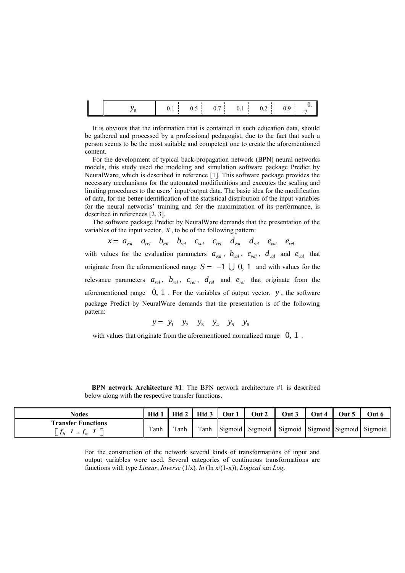|  |  |  | 0.1 0.5 0.7 0.1 0.2 0.9 $\frac{0}{7}$ |  |
|--|--|--|---------------------------------------|--|
|  |  |  |                                       |  |

It is obvious that the information that is contained in such education data, should be gathered and processed by a professional pedagogist, due to the fact that such a person seems to be the most suitable and competent one to create the aforementioned content.

For the development of typical back-propagation network (BPN) neural networks models, this study used the modeling and simulation software package Predict by NeuralWare, which is described in reference [1]. This software package provides the necessary mechanisms for the automated modifications and executes the scaling and limiting procedures to the users' input/output data. The basic idea for the modification of data, for the better identification of the statistical distribution of the input variables for the neural networks' training and for the maximization of its performance, is described in references [2, 3].

The software package Predict by NeuralWare demands that the presentation of the riables of the input vector, x, to be of the following pattern:<br>  $x = a_{\text{val}} a_{\text{rel}} b_{\text{val}} b_{\text{rel}} c_{\text{val}} c_{\text{rel}} d_{\text{val}} d_{\text{rel}} e_{\text{val}} e_{\text{rel}}$ variables of the input vector,  $x$ , to be of the following pattern:

$$
x = a_{val} \quad a_{rel} \quad b_{val} \quad b_{rel} \quad c_{val} \quad c_{rel} \quad d_{val} \quad d_{rel} \quad e_{val} \quad e_{rel}
$$

with values for the evaluation parameters  $a_{val}$ ,  $b_{val}$ ,  $c_{val}$ ,  $d_{val}$  and  $e_{val}$  that originate from the aforementioned range  $S = -1 \cup 0$ , 1 and with values for the relevance parameters  $a_{rel}$ ,  $b_{rel}$ ,  $c_{rel}$ ,  $d_{rel}$  and  $e_{rel}$  that originate from the aforementioned range 0, 1 . For the variables of output vector, *y* , the software package Predict by NeuralWare demands that the presentation is of the following pattern:

$$
y = y_1 \quad y_2 \quad y_3 \quad y_4 \quad y_5 \quad y_6
$$

with values that originate from the aforementioned normalized range  $0, 1$ .

 **BPN network Architecture #1**: The BPN network architecture #1 is described below along with the respective transfer functions.

| <b>Nodes</b>                                         | Hid  |      | Hid 2   Hid 3   Out 1 | Out 2                                                | Out 3 | Out 4 | Out 5 | Out ( |
|------------------------------------------------------|------|------|-----------------------|------------------------------------------------------|-------|-------|-------|-------|
| <b>Transfer Functions</b><br>$\cdot$ $\cdot$ $\cdot$ | Tanh | Tanh |                       | Tanh Sigmoid Sigmoid Sigmoid Sigmoid Sigmoid Sigmoid |       |       |       |       |

For the construction of the network several kinds of transformations of input and output variables were used. Several categories of continuous transformations are functions with type *Linear*, *Inverse* (1/x)*, ln* (ln x/(1-x)), *Logical* και *Log*.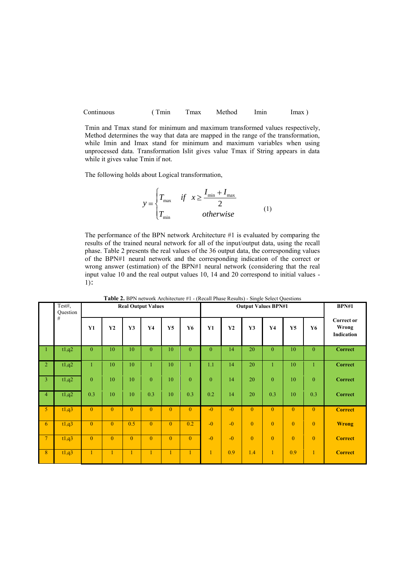| Continuous | $\Gamma$ min | max | Method | lmın | <i>lmax</i> |
|------------|--------------|-----|--------|------|-------------|
|------------|--------------|-----|--------|------|-------------|

Tmin and Tmax stand for minimum and maximum transformed values respectively, Method determines the way that data are mapped in the range of the transformation, while Imin and Imax stand for minimum and maximum variables when using unprocessed data. Transformation Islit gives value Tmax if String appears in data while it gives value Tmin if not.

The following holds about Logical transformation,

$$
y = \begin{cases} T_{\text{max}} & \text{if } x \ge \frac{I_{\text{min}} + I_{\text{max}}}{2} \\ T_{\text{min}} & \text{otherwise} \end{cases}
$$
 (1)

The performance of the BPN network Architecture #1 is evaluated by comparing the results of the trained neural network for all of the input/output data, using the recall phase. Table 2 presents the real values of the 36 output data, the corresponding values of the BPN#1 neural network and the corresponding indication of the correct or wrong answer (estimation) of the BPN#1 neural network (considering that the real input value 10 and the real output values 10, 14 and 20 correspond to initial values - 1):

|                | Test#,        |                |                |                | <b>Real Output Values</b> |                |                |              |      | <b>Table 2.</b> DTTV fictions Architecture $\pi_1$ - (Recall Filase Results) - bingle befect Questions | <b>Output Values BPN#1</b> |                |                | <b>BPN#1</b>                             |
|----------------|---------------|----------------|----------------|----------------|---------------------------|----------------|----------------|--------------|------|--------------------------------------------------------------------------------------------------------|----------------------------|----------------|----------------|------------------------------------------|
|                | Question<br># | Y1             | Y2             | Y3             | Y <sub>4</sub>            | Y5             | Y6             | <b>Y1</b>    | Y2   | Y3                                                                                                     | Y <sub>4</sub>             | Y5             | Y6             | <b>Correct or</b><br>Wrong<br>Indication |
| -1             | t1,q2         | $\mathbf{0}$   | 10             | 10             | $\overline{0}$            | 10             | $\mathbf{0}$   | $\mathbf{0}$ | 14   | 20                                                                                                     | $\overline{0}$             | 10             | $\mathbf{0}$   | <b>Correct</b>                           |
| $\overline{2}$ | t1,q2         | 1              | 10             | 10             | $\mathbf{1}$              | 10             | $\mathbf{1}$   | 1.1          | 14   | 20                                                                                                     |                            | 10             | 1              | <b>Correct</b>                           |
| $\overline{3}$ | t1,q2         | $\mathbf{0}$   | 10             | 10             | $\theta$                  | 10             | $\theta$       | $\theta$     | 14   | 20                                                                                                     | $\theta$                   | 10             | $\mathbf{0}$   | <b>Correct</b>                           |
| 4              | t1,q2         | 0.3            | 10             | 10             | 0.3                       | 10             | 0.3            | 0.2          | 14   | 20                                                                                                     | 0.3                        | 10             | 0.3            | <b>Correct</b>                           |
| 5 <sup>1</sup> | t1,q3         | $\overline{0}$ | $\overline{0}$ | $\overline{0}$ | $\mathbf{0}$              | $\mathbf{0}$   | $\overline{0}$ | $-0$         | $-0$ | $\mathbf{0}$                                                                                           | $\overline{0}$             | $\overline{0}$ | $\mathbf{0}$   | <b>Correct</b>                           |
| 6 <sub>1</sub> | t1,q3         | $\overline{0}$ | $\overline{0}$ | 0.5            | $\overline{0}$            | $\mathbf{0}$   | 0.2            | $-0$         | $-0$ | $\overline{0}$                                                                                         | $\overline{0}$             | $\mathbf{0}$   | $\mathbf{0}$   | <b>Wrong</b>                             |
| 7 <sup>1</sup> | t1,q3         | $\mathbf{0}$   | $\overline{0}$ | $\overline{0}$ | $\mathbf{0}$              | $\overline{0}$ | $\overline{0}$ | $-0$         | $-0$ | $\overline{0}$                                                                                         | $\overline{0}$             | $\overline{0}$ | $\overline{0}$ | <b>Correct</b>                           |
| 8              | t1,q3         |                |                |                |                           | $\mathbf{1}$   | 1              | $\mathbf{1}$ | 0.9  | 1.4                                                                                                    | $\mathbf{1}$               | 0.9            | $\mathbf{1}$   | <b>Correct</b>                           |

**Table 2.** BPN network Architecture #1 - (Recall Phase Results) - Single Select Questions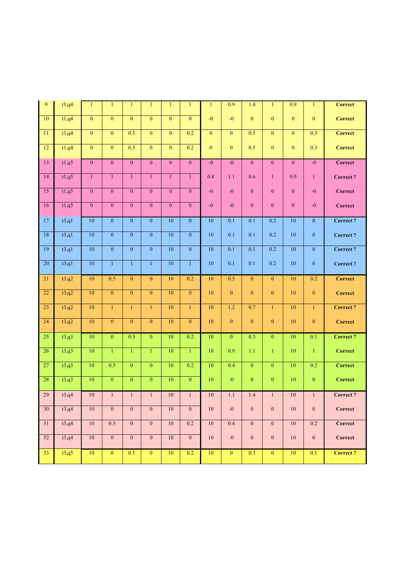| 9               | t1,q4 | $\mathbf{1}$     | $\mathbf{1}$     | $\mathbf{1}$   | $\mathbf{1}$     | $\mathbf{1}$     | $\mathbf{1}$     | $\mathbf{1}$     | 0.9              | 1.4              | $\mathbf{1}$     | $\overline{0.9}$ | $\mathbf{1}$     | <b>Correct</b>  |
|-----------------|-------|------------------|------------------|----------------|------------------|------------------|------------------|------------------|------------------|------------------|------------------|------------------|------------------|-----------------|
| 10              | t1,q4 | $\overline{0}$   | $\overline{0}$   | $\mathbf{0}$   | $\mathbf{0}$     | $\overline{0}$   | $\mathbf{0}$     | $-0$             | $-0$             | $\mathbf{0}$     | $\mathbf{0}$     | $\boldsymbol{0}$ | $\mathbf{0}$     | <b>Correct</b>  |
| 11              | t1,q4 | $\overline{0}$   | $\overline{0}$   | 0.5            | $\overline{0}$   | $\overline{0}$   | 0.2              | $\mathbf 0$      | $\overline{0}$   | 0.5              | $\overline{0}$   | $\overline{0}$   | 0.3              | <b>Correct</b>  |
| 12              | t1,q4 | $\boldsymbol{0}$ | $\mathbf{0}$     | 0.5            | $\mathbf{0}$     | $\mathbf{0}$     | 0.2              | $\boldsymbol{0}$ | $\overline{0}$   | 0.5              | $\boldsymbol{0}$ | $\overline{0}$   | 0.3              | <b>Correct</b>  |
| 13              | t1,q5 | $\boldsymbol{0}$ | $\overline{0}$   | $\overline{0}$ | $\overline{0}$   | $\mathbf{0}$     | $\overline{0}$   | $-0$             | $-0$             | $\overline{0}$   | $\boldsymbol{0}$ | $\overline{0}$   | $-0$             | Correct         |
| 14              | t1,q5 | $\mathbf{1}$     | $\mathbf{1}$     | $\mathbf{1}$   | $\mathbf{1}$     | $\mathbf{1}$     | $\mathbf{1}$     | 0.8              | 1.1              | 0.6              | $\mathbf{1}$     | 0.9              | $\mathbf{1}$     | <b>Correct?</b> |
| 15              | t1,q5 | $\boldsymbol{0}$ | $\overline{0}$   | $\overline{0}$ | $\mathbf{0}$     | $\boldsymbol{0}$ | $\mathbf{0}$     | $-0$             | $-0$             | $\mathbf{0}$     | $\boldsymbol{0}$ | $\boldsymbol{0}$ | $-0$             | <b>Correct</b>  |
| 16              | t1,q5 | $\boldsymbol{0}$ | $\overline{0}$   | $\mathbf{0}$   | $\mathbf{0}$     | $\boldsymbol{0}$ | $\boldsymbol{0}$ | $-0$             | $-0$             | $\boldsymbol{0}$ | $\boldsymbol{0}$ | $\boldsymbol{0}$ | $-0$             | <b>Correct</b>  |
| 17              | t3,q1 | $\overline{10}$  | $\mathbf{0}$     | $\overline{0}$ | $\overline{0}$   | $\overline{10}$  | $\mathbf{0}$     | $\overline{10}$  | $\overline{0.1}$ | 0.1              | 0.2              | 10               | $\overline{0}$   | <b>Correct?</b> |
| 18              | t3,q1 | 10               | $\overline{0}$   | $\overline{0}$ | $\overline{0}$   | 10               | $\overline{0}$   | $\overline{10}$  | $\overline{0.1}$ | $\overline{0.1}$ | 0.2              | 10               | $\mathbf{0}$     | Correct?        |
| 19              | t3,q1 | 10               | $\overline{0}$   | $\overline{0}$ | $\overline{0}$   | 10               | $\overline{0}$   | 10               | 0.1              | 0.1              | 0.2              | 10               | $\mathbf{0}$     | Correct?        |
| 20              | t3,q1 | 10               | $\mathbf{1}$     | $\mathbf{1}$   | $\mathbf{1}$     | 10               | $\mathbf{1}$     | 10               | 0.1              | 0.1              | $\overline{0.2}$ | 10               | $\mathbf{0}$     | <b>Correct?</b> |
| 21              | t3,q2 | 10               | 0.5              | $\mathbf{0}$   | $\mathbf{0}$     | $10\,$           | 0.2              | 10               | 0.5              | $\mathbf{0}$     | $\mathbf{0}$     | 10               | 0.2              | <b>Correct</b>  |
| $\overline{22}$ | t3,q2 | $\overline{10}$  | $\overline{0}$   | $\theta$       | $\boldsymbol{0}$ | $\overline{10}$  | $\overline{0}$   | 10               | $\boldsymbol{0}$ | $\mathbf{0}$     | $\boldsymbol{0}$ | 10               | $\mathbf{0}$     | Correct         |
| 23              | t3,q2 | 10               | $\mathbf{1}$     | $\mathbf{1}$   | $\mathbf{1}$     | $10\,$           | $\mathbf{1}$     | 10               | 1.2              | 0.7              | $\mathbf{1}$     | 10               | $\mathbf{1}$     | <b>Correct?</b> |
| 24              | t3,q2 | 10               | $\overline{0}$   | $\theta$       | $\overline{0}$   | 10               | $\overline{0}$   | 10               | $\boldsymbol{0}$ | $\mathbf{0}$     | $\overline{0}$   | 10               | $\mathbf{0}$     | <b>Correct</b>  |
| 25              | t3,q3 | $\overline{10}$  | $\overline{0}$   | 0.5            | $\overline{0}$   | $10$             | 0.2              | 10               | $\mathbf{0}$     | 0.3              | $\overline{0}$   | $\overline{10}$  | $\overline{0.1}$ | <b>Correct?</b> |
| 26              | t3,q3 | 10               | $\mathbf{1}$     | $\mathbf{1}$   | $\mathbf{1}$     | 10               | $\mathbf{1}$     | $\overline{10}$  | $\overline{0.9}$ | 1.1              | $\mathbf{1}$     | $\overline{10}$  | $\overline{1}$   | Correct         |
| 27              | t3,q3 | 10               | 0.5              | $\overline{0}$ | $\overline{0}$   | 10               | 0.2              | $\overline{10}$  | 0.4              | $\overline{0}$   | $\overline{0}$   | $\overline{10}$  | 0.2              | <b>Correct</b>  |
| 28              | t3,q3 | 10               | $\overline{0}$   | $\overline{0}$ | $\overline{0}$   | 10               | $\overline{0}$   | $\overline{10}$  | $-0$             | $\overline{0}$   | $\overline{0}$   | $\overline{10}$  | $\overline{0}$   | <b>Correct</b>  |
| 29              | t3,q4 | 10               | $\mathbf{1}$     | $\mathbf{1}$   | $\mathbf{1}$     | 10               | $\mathbf{1}$     | 10               | 1.1              | 1.4              | $\mathbf{1}$     | 10               | $\mathbf{1}$     | <b>Correct?</b> |
| 30              | t3,q4 | 10               | $\boldsymbol{0}$ | $\mathbf{0}$   | $\mathbf{0}$     | $10\,$           | $\boldsymbol{0}$ | 10               | $-0$             | $\boldsymbol{0}$ | $\boldsymbol{0}$ | 10               | $\mathbf{0}$     | <b>Correct</b>  |
| 31              | t3,q4 | $10\,$           | 0.5              | $\overline{0}$ | $\mathbf{0}$     | $10\,$           | 0.2              | $10\,$           | 0.4              | $\mathbf{0}$     | $\boldsymbol{0}$ | 10               | 0.2              | <b>Correct</b>  |
| 32              | t3,q4 | 10               | $\mathbf{0}$     | $\mathbf{0}$   | $\mathbf{0}$     | 10               | $\mathbf{0}$     | $10\,$           | $-0$             | $\mathbf{0}$     | $\mathbf{0}$     | 10               | $\mathbf{0}$     | Correct         |
| 33              | t3,q5 | 10               | $\mathbf{0}$     | 0.5            | $\overline{0}$   | 10               | 0.2              | 10               | $\overline{0}$   | 0.3              | $\mathbf{0}$     | 10               | $\overline{0.1}$ | <b>Correct?</b> |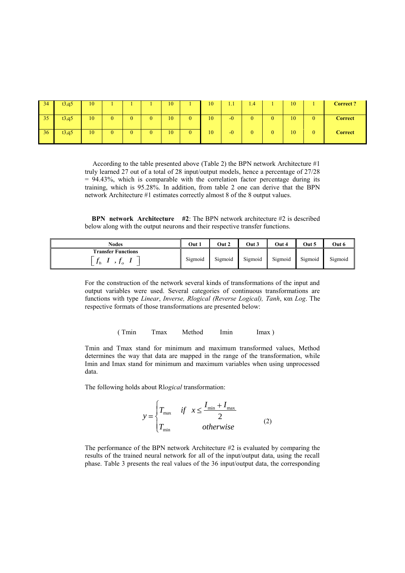| 34 | t3,q5 | 10 |   |  | 10 |   | 10 | 1.1  | 1.4 |   | 10 | <b>Correct?</b> |
|----|-------|----|---|--|----|---|----|------|-----|---|----|-----------------|
| 35 | t3,q5 | 10 | 0 |  | 10 | ν | 10 | $-0$ |     | 0 | 10 | <b>Correct</b>  |
| 36 | t3,q5 | 10 | 0 |  | 10 |   | 10 | $-0$ |     | 0 | 10 | <b>Correct</b>  |

According to the table presented above (Table 2) the BPN network Architecture #1 truly learned 27 out of a total of 28 input/output models, hence a percentage of 27/28 = 94.43%, which is comparable with the correlation factor percentage during its training, which is 95.28%. In addition, from table 2 one can derive that the BPN network Architecture #1 estimates correctly almost 8 of the 8 output values.

 **BPN network Architecture #2**: The BPN network architecture #2 is described below along with the output neurons and their respective transfer functions.

| Nodes                                                       | Out 1   | Out 2   | Out 3   | Out 4   | Out 5   | Out 6   |
|-------------------------------------------------------------|---------|---------|---------|---------|---------|---------|
| <b>Transfer Functions</b><br>J <sub>h</sub><br>$J_{\theta}$ | Sigmoid | Sigmoid | Sigmoid | Sigmoid | Sigmoid | Sigmoid |

For the construction of the network several kinds of transformations of the input and output variables were used. Several categories of continuous transformations are functions with type *Linear*, *Inverse, Rlogical (Reverse Logical), Τanh*, και *Log*. The respective formats of those transformations are presented below:

(Tmin Tmax Method Imin Imax)

Tmin and Tmax stand for minimum and maximum transformed values, Method determines the way that data are mapped in the range of the transformation, while Imin and Imax stand for minimum and maximum variables when using unprocessed data.

The following holds about Rl*ogical* transformation:

$$
y = \begin{cases} T_{\text{max}} & \text{if } x \le \frac{I_{\text{min}} + I_{\text{max}}}{2} \\ T_{\text{min}} & \text{otherwise} \end{cases}
$$
 (2)

The performance of the BPN network Architecture #2 is evaluated by comparing the results of the trained neural network for all of the input/output data, using the recall phase. Table 3 presents the real values of the 36 input/output data, the corresponding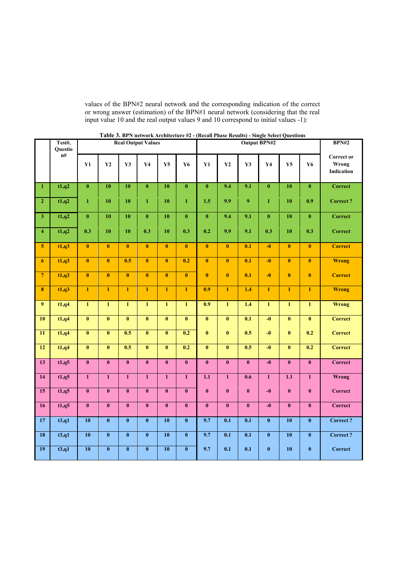values of the BPN#2 neural network and the corresponding indication of the correct or wrong answer (estimation) of the BPN#1 neural network (considering that the real input value 10 and the real output values 9 and 10 correspond to initial values -1):

|                         | Test#,<br>Questio<br>n# |                         | <b>THERE</b> $\theta$ , <b>Department in the concentration</b> |                         | <b>Real Output Values</b> |                         |                         | $(mean + max rows) - long to select Questions$ | <b>BPN#2</b>                         |                           |                         |                         |                           |                                          |  |
|-------------------------|-------------------------|-------------------------|----------------------------------------------------------------|-------------------------|---------------------------|-------------------------|-------------------------|------------------------------------------------|--------------------------------------|---------------------------|-------------------------|-------------------------|---------------------------|------------------------------------------|--|
|                         |                         | Y1                      | $\mathbf{Y2}$                                                  | $\mathbf{Y3}$           | $\mathbf{Y}$ 4            | Y5                      | <b>Y6</b>               | Y1                                             | $\mathbf{Y2}$                        | $\mathbf{Y3}$             | Y <sub>4</sub>          | Y5                      | Y6                        | <b>Correct or</b><br>Wrong<br>Indication |  |
| $\mathbf{1}$            | t1,q2                   | $\overline{\mathbf{0}}$ | 10                                                             | 10                      | $\bf{0}$                  | $\overline{10}$         | $\overline{\mathbf{0}}$ | $\overline{\mathbf{0}}$                        | 9.4                                  | 9.1                       | $\overline{\mathbf{0}}$ | $\overline{10}$         | $\overline{\mathbf{0}}$   | <b>Correct</b>                           |  |
| $\overline{2}$          | t1,q2                   | $\mathbf{1}$            | 10                                                             | 10                      | $\mathbf 1$               | 10                      | $\mathbf{1}$            | 1.5                                            | 9.9                                  | $\boldsymbol{9}$          | $\mathbf{1}$            | 10                      | 0.9                       | <b>Correct?</b>                          |  |
| $\overline{\mathbf{3}}$ | t1,q2                   | $\pmb{0}$               | 10                                                             | 10                      | $\bf{0}$                  | 10                      | $\pmb{0}$               | $\bf{0}$                                       | 9.4                                  | 9.1                       | $\bf{0}$                | 10                      | $\pmb{0}$                 | <b>Correct</b>                           |  |
| $\overline{\mathbf{4}}$ | t1,q2                   | 0.3                     | 10                                                             | 10                      | 0.3                       | 10                      | 0.3                     | 0.2                                            | 9.9                                  | 9.1                       | 0.3                     | 10                      | 0.3                       | <b>Correct</b>                           |  |
| $\overline{\mathbf{5}}$ | t1,q3                   | $\overline{\mathbf{0}}$ | $\bf{0}$                                                       | $\mathbf{0}$            | $\bf{0}$                  | $\overline{\mathbf{0}}$ | $\overline{\mathbf{0}}$ | $\overline{\mathbf{0}}$                        | $\bf{0}$                             | 0.1                       | $-0$                    | $\pmb{0}$               | $\bf{0}$                  | <b>Correct</b>                           |  |
| $\overline{6}$          | t1,q3                   | $\overline{\mathbf{0}}$ | $\overline{\mathbf{0}}$                                        | 0.5                     | $\overline{\mathbf{0}}$   | $\overline{\mathbf{0}}$ | 0.2                     | $\overline{\mathbf{0}}$                        | $\overline{\mathbf{0}}$              | 0.1                       | $\overline{-0}$         | $\overline{\mathbf{0}}$ | $\overline{\mathbf{0}}$   | <b>Wrong</b>                             |  |
| $\overline{7}$          | t1,q3                   | $\overline{\mathbf{0}}$ | $\overline{\mathbf{0}}$                                        | $\overline{\mathbf{0}}$ | $\overline{\mathbf{0}}$   | $\overline{\mathbf{0}}$ | $\overline{\mathbf{0}}$ | $\overline{\mathbf{0}}$                        | $\overline{\mathbf{0}}$              | $\overline{\mathbf{0.1}}$ | $-0$                    | $\overline{\mathbf{0}}$ | $\overline{\mathbf{0}}$   | <b>Correct</b>                           |  |
| $\overline{\mathbf{8}}$ | t1,q3                   | $\mathbf{1}$            | $\overline{1}$                                                 | $\mathbf{1}$            | $\mathbf{1}$              | $\mathbf{1}$            | $\overline{1}$          | 0.9                                            | $\mathbf{1}$                         | 1.4                       | $\mathbf{1}$            | $\mathbf{1}$            | $\mathbf{1}$              | <b>Wrong</b>                             |  |
| 9 <sup>°</sup>          | t1,q4                   | $\overline{1}$          | $\overline{1}$                                                 | $\mathbf{1}$            | $\mathbf{1}$              | $\overline{1}$          | $\overline{1}$          | 0.9                                            | $\overline{1}$                       | $1.4\,$                   | $\mathbf{1}$            | $\overline{1}$          | $\overline{1}$            | <b>Wrong</b>                             |  |
| 10                      | t1,q4                   | $\overline{\mathbf{0}}$ | $\overline{\mathbf{0}}$                                        | $\overline{\mathbf{0}}$ | $\overline{\mathbf{0}}$   | $\overline{\mathbf{0}}$ | $\overline{\mathbf{0}}$ | $\bf{0}$                                       | $\pmb{0}$                            | 0.1                       | $-0$                    | $\pmb{0}$               | $\pmb{0}$                 | <b>Correct</b>                           |  |
| $\overline{11}$         | t1,q4                   | $\overline{\mathbf{0}}$ | $\overline{\mathbf{0}}$                                        | 0.5                     | $\overline{\mathbf{0}}$   | $\overline{\mathbf{0}}$ | 0.2                     | $\mathbf{0}$                                   | $\pmb{0}$                            | 0.5                       | $-0$                    | $\mathbf{0}$            | 0.2                       | <b>Correct</b>                           |  |
| 12                      | t1,q4                   | $\overline{\mathbf{0}}$ | $\overline{\mathbf{0}}$                                        | 0.5                     | $\overline{\mathbf{0}}$   | $\overline{\mathbf{0}}$ | 0.2                     | $\overline{\mathbf{0}}$                        | $\overline{\mathbf{0}}$              | 0.5                       | $\overline{-0}$         | $\overline{\mathbf{0}}$ | $\overline{\mathbf{0.2}}$ | <b>Correct</b>                           |  |
| 13                      | t1,q5                   | $\overline{\mathbf{0}}$ | $\overline{\mathbf{0}}$                                        | $\overline{\mathbf{0}}$ | $\overline{\mathbf{0}}$   | $\overline{\mathbf{0}}$ | $\overline{\mathbf{0}}$ | $\overline{\mathbf{0}}$                        | $\mathbf{0}$                         | $\mathbf{0}$              | $-0$                    | $\overline{\mathbf{0}}$ | $\mathbf{0}$              | <b>Correct</b>                           |  |
| 14                      | t1,q5                   | $\mathbf{1}$            | $\mathbf{1}$                                                   | $\mathbf{1}$            | $\mathbf{1}$              | $\mathbf{1}$            | $\mathbf{1}$            | 1.1                                            | $\mathbf{1}$                         | 0.6                       | $\mathbf{1}$            | 1.1                     | $\mathbf{1}$              | <b>Wrong</b>                             |  |
| 15                      | t1,q5                   | $\overline{\mathbf{0}}$ | $\overline{\mathbf{0}}$                                        | $\overline{\mathbf{0}}$ | $\overline{\mathbf{0}}$   | $\bf{0}$                | $\bf{0}$                | $\overline{\mathbf{0}}$                        | $\bf{0}$                             | $\bf{0}$                  | $-0$                    | $\bf{0}$                | $\pmb{0}$                 | Correct                                  |  |
| 16                      | t1,q5                   | $\overline{\mathbf{0}}$ | $\overline{\mathbf{0}}$                                        | $\boldsymbol{0}$        | $\overline{\mathbf{0}}$   | $\overline{\mathbf{0}}$ | $\overline{\mathbf{0}}$ | $\bf{0}$                                       | $\pmb{0}$                            | $\pmb{0}$                 | $-0$                    | $\pmb{0}$               | $\pmb{0}$                 | <b>Correct</b>                           |  |
| 17                      | t3,q1                   | 10                      | $\pmb{0}$                                                      | $\overline{\mathbf{0}}$ | $\overline{\mathbf{0}}$   | 10                      | $\bf{0}$                | 9.7                                            | 0.1                                  | 0.1                       | $\bf{0}$                | 10                      | $\pmb{0}$                 | <b>Correct?</b>                          |  |
| $\overline{18}$         | t3,q1                   | $\overline{10}$         | $\overline{\mathbf{0}}$                                        | $\bf{0}$                | $\overline{\mathbf{0}}$   | 10                      | $\bf{0}$                | 9.7                                            | $\overline{\overline{\mathbf{0.1}}}$ | 0.1                       | $\bf{0}$                | 10                      | $\pmb{0}$                 | Correct?                                 |  |
| 19                      | t3,q1                   | 10                      | $\overline{\mathbf{0}}$                                        | $\overline{\mathbf{0}}$ | $\overline{\mathbf{0}}$   | 10                      | $\pmb{0}$               | 9.7                                            | 0.1                                  | 0.1                       | $\pmb{0}$               | 10                      | $\pmb{0}$                 | <b>Correct</b>                           |  |

| Table 3. BPN network Architecture #2 - (Recall Phase Results) - Single Select Questions |  |  |
|-----------------------------------------------------------------------------------------|--|--|
|-----------------------------------------------------------------------------------------|--|--|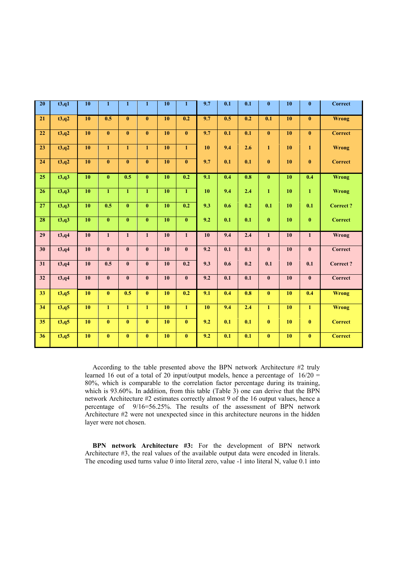| $\overline{20}$ | t3,q1  | 10 | $\mathbf{1}$            | $\mathbf{1}$            | $\mathbf{1}$            | 10     | $\mathbf{1}$            | 9.7 | 0.1                       | 0.1                         | $\bf{0}$                | 10   | $\bf{0}$     | <b>Correct</b>  |
|-----------------|--------|----|-------------------------|-------------------------|-------------------------|--------|-------------------------|-----|---------------------------|-----------------------------|-------------------------|------|--------------|-----------------|
| 21              | t3,q2  | 10 | 0.5                     | $\bf{0}$                | $\bf{0}$                | 10     | 0.2                     | 9.7 | 0.5                       | 0.2                         | 0.1                     | 10   | $\bf{0}$     | <b>Wrong</b>    |
| 22              | t3,q2  | 10 | $\overline{\mathbf{0}}$ | $\bf{0}$                | $\overline{\mathbf{0}}$ | 10     | $\overline{\mathbf{0}}$ | 9.7 | $\overline{\mathbf{0.1}}$ | $\overline{\mathbf{0.1}}$   | $\pmb{0}$               | 10   | $\bf{0}$     | <b>Correct</b>  |
| $\overline{23}$ | t3,q2  | 10 | $\mathbf{1}$            | $\mathbf{1}$            | $\mathbf{1}$            | $10$   | $\mathbf{1}$            | 10  | 9.4                       | 2.6                         | $\mathbf{1}$            | 10   | $\mathbf{1}$ | <b>Wrong</b>    |
| 24              | t3,q2  | 10 | $\bf{0}$                | $\bf{0}$                | $\overline{\mathbf{0}}$ | 10     | $\pmb{0}$               | 9.7 | 0.1                       | 0.1                         | $\bf{0}$                | 10   | $\bf{0}$     | <b>Correct</b>  |
| 25              | t3,q3  | 10 | $\mathbf{0}$            | 0.5                     | $\overline{\mathbf{0}}$ | 10     | 0.2                     | 9.1 | 0.4                       | 0.8                         | $\bf{0}$                | 10   | 0.4          | <b>Wrong</b>    |
| 26              | t3,q3  | 10 | $\overline{1}$          | $\overline{1}$          | $\overline{1}$          | 10     | $\overline{1}$          | 10  | 9.4                       | 2.4                         | $\mathbf{1}$            | 10   | $\mathbf{1}$ | Wrong           |
| $\overline{27}$ | t3,q3  | 10 | 0.5                     | $\overline{\mathbf{0}}$ | $\overline{\mathbf{0}}$ | 10     | 0.2                     | 9.3 | 0.6                       | 0.2                         | 0.1                     | 10   | 0.1          | <b>Correct?</b> |
| 28              | t3,q3  | 10 | $\overline{\mathbf{0}}$ | $\overline{\mathbf{0}}$ | $\overline{\mathbf{0}}$ | 10     | $\overline{\mathbf{0}}$ | 9.2 | $\overline{\mathbf{0.1}}$ | $\overline{\overline{0.1}}$ | $\pmb{0}$               | 10   | $\mathbf{0}$ | <b>Correct</b>  |
| 29              | t3,q4  | 10 | $\mathbf{1}$            | $\mathbf{1}$            | $\mathbf 1$             | 10     | $\mathbf{1}$            | 10  | 9.4                       | 2.4                         | $\mathbf{1}$            | 10   | $\mathbf{1}$ | Wrong           |
| 30              | t3, q4 | 10 | $\overline{\mathbf{0}}$ | $\bf{0}$                | $\overline{\mathbf{0}}$ | $10$   | $\overline{\mathbf{0}}$ | 9.2 | $\overline{\mathbf{0.1}}$ | $\overline{\mathbf{0.1}}$   | $\pmb{0}$               | $10$ | $\bf{0}$     | <b>Correct</b>  |
| $\overline{31}$ | t3,q4  | 10 | 0.5                     | $\mathbf{0}$            | $\bf{0}$                | $10\,$ | 0.2                     | 9.3 | 0.6                       | 0.2                         | 0.1                     | 10   | 0.1          | <b>Correct?</b> |
| $\overline{32}$ | t3,q4  | 10 | $\bf{0}$                | $\bf{0}$                | $\bf{0}$                | 10     | $\mathbf{0}$            | 9.2 | 0.1                       | 0.1                         | $\pmb{0}$               | 10   | $\bf{0}$     | <b>Correct</b>  |
| 33              | t3,q5  | 10 | $\mathbf{0}$            | 0.5                     | $\pmb{0}$               | 10     | 0.2                     | 9.1 | 0.4                       | 0.8                         | $\bf{0}$                | 10   | 0.4          | <b>Wrong</b>    |
| 34              | t3,q5  | 10 | $\overline{1}$          | $\mathbf{1}$            | $\overline{1}$          | 10     | $\overline{1}$          | 10  | 9.4                       | 2.4                         | $\mathbf{1}$            | 10   | $\mathbf{1}$ | <b>Wrong</b>    |
| $\overline{35}$ | t3,q5  | 10 | $\overline{\mathbf{0}}$ | $\mathbf{0}$            | $\overline{\mathbf{0}}$ | 10     | $\overline{\mathbf{0}}$ | 9.2 | 0.1                       | 0.1                         | $\mathbf{0}$            | 10   | $\bf{0}$     | <b>Correct</b>  |
| 36              | t3,q5  | 10 | $\overline{\mathbf{0}}$ | $\mathbf{0}$            | $\overline{\mathbf{0}}$ | 10     | $\overline{\mathbf{0}}$ | 9.2 | 0.1                       | $\overline{\mathbf{0.1}}$   | $\overline{\mathbf{0}}$ | 10   | $\mathbf{0}$ | <b>Correct</b>  |

According to the table presented above the BPN network Architecture #2 truly learned 16 out of a total of 20 input/output models, hence a percentage of 16/20 = 80%, which is comparable to the correlation factor percentage during its training, which is 93.60%. In addition, from this table (Table 3) one can derive that the BPN network Architecture #2 estimates correctly almost 9 of the 16 output values, hence a percentage of 9/16=56.25%. The results of the assessment of BPN network Architecture #2 were not unexpected since in this architecture neurons in the hidden layer were not chosen.

**BPN network Architecture #3:** For the development of BPN network Architecture #3, the real values of the available output data were encoded in literals. The encoding used turns value 0 into literal zero, value -1 into literal N, value 0.1 into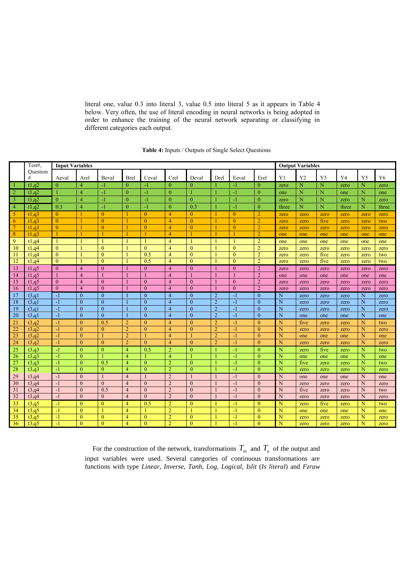literal one, value 0.3 into literal 3, value 0.5 into literal 5 as it appears in Table 4 below. Very often, the use of literal encoding in neural networks is being adopted in order to enhance the training of the neural network separating or classifying in different categories each output.

|                | Test#.   | <b>Input Variables</b><br><b>Output Variables</b> |                |                  |                |                |                |                |                |                |                |                |      |      |       |      |       |
|----------------|----------|---------------------------------------------------|----------------|------------------|----------------|----------------|----------------|----------------|----------------|----------------|----------------|----------------|------|------|-------|------|-------|
|                | Ouestion |                                                   |                |                  |                |                |                |                |                |                |                |                |      |      |       |      |       |
|                | #        | Aeval                                             | Arel           | Beval            | <b>Brel</b>    | Ceval          | Crel           | Deval          | Drel           | Eeval          | Erel           | Y1             | Y2   | Y3   | Y4    | Y5   | Y6    |
| $\overline{1}$ | t1,q2    | $\Omega$                                          | 4              | $-1$             | $\mathbf{0}$   | $\mathbf{I}$   | $\theta$       | $\overline{0}$ |                | $-1$           | $\mathbf{0}$   | zero           | N    | N    | zero  | N    | zero  |
| $\overline{2}$ | t1,q2    |                                                   | $\overline{4}$ | $-1$             | $\overline{0}$ | $-1$           | $\theta$       | $\mathbf{1}$   |                | $-1$           | $\mathbf{0}$   | one            | N    | N    | one   | N    | one   |
| $\overline{3}$ | t1,q2    | $\mathbf{0}$                                      | $\overline{4}$ | $-1$             | $\overline{0}$ | $-1$           | $\mathbf{0}$   | $\mathbf{0}$   |                | $\mathbf{-1}$  | $\mathbf{0}$   | zero           | N    | N    | zero  | N    | zero  |
| $\overline{4}$ | t1,q2    | 0.3                                               | $\overline{4}$ | $-1$             | $\overline{0}$ | $-1$           | $\Omega$       | 0.3            | $\overline{1}$ | $-1$           | $\overline{0}$ | three          | N    | N    | three | N    | three |
| 5              | t1.a3    | $\theta$                                          | $\mathbf{1}$   | $\theta$         | -1             | $\mathbf{0}$   | $\overline{4}$ | $\theta$       | -1             | $\theta$       | $\overline{2}$ | zero           | zero | zero | zero  | zero | zero  |
| 6              | t1.a3    | $\theta$                                          |                | $\theta$         |                | $\theta$       | $\overline{4}$ | $\theta$       |                | $\theta$       | $\overline{2}$ | zero           | zero | five | zero  | zero | two   |
| $\overline{7}$ | t1,q3    | $\overline{0}$                                    | $\mathbf{1}$   | $\mathbf{0}$     | $\overline{1}$ | $\mathbf{0}$   | $\overline{4}$ | $\overline{0}$ |                | $\overline{0}$ | $\overline{2}$ | zero           | zero | zero | zero  | zero | zero  |
| 8              | t1.a3    |                                                   |                |                  |                |                | $\overline{4}$ |                |                |                | $\overline{2}$ | one            | one  | one  | one   | one  | one   |
| 9              | t1,q4    |                                                   |                |                  | $\mathbf{1}$   | $\mathbf{1}$   | 4              | $\mathbf{1}$   |                |                | $\overline{2}$ | one            | one  | one  | one   | one  | one   |
| 10             | t1,q4    | $\theta$                                          |                | $\mathbf{0}$     |                | $\theta$       | 4              | $\theta$       |                | $\mathbf{0}$   | $\overline{2}$ | zero           | zero | zero | zero  | zero | zero  |
| 11             | t1,q4    | $\theta$                                          |                | $\theta$         |                | 0.5            | $\overline{4}$ | $\theta$       |                | $\theta$       | $\overline{2}$ | zero           | zero | five | zero  | zero | two   |
| 12             | t1,q4    | $\theta$                                          |                | $\theta$         |                | 0.5            | $\overline{4}$ | $\theta$       |                | $\theta$       | $\overline{2}$ | zero           | zero | five | zero  | zero | two   |
| 13             | t1,q5    | $\Omega$                                          | $\overline{4}$ | $\theta$         |                | $\theta$       | $\overline{4}$ | $\Omega$       |                | $\Omega$       | $\overline{2}$ | zero           | zero | zero | zero  | zero | zero  |
| 14             | t1,q5    |                                                   | $\overline{4}$ |                  |                | $\overline{1}$ | $\overline{4}$ | $\mathbf{1}$   |                |                | $\overline{2}$ | one            | one  | one  | one   | one  | one   |
| 15             | t1,q5    | $\Omega$                                          | $\overline{4}$ | $\theta$         |                | $\theta$       | $\overline{4}$ | $\theta$       |                | $\theta$       | $\overline{2}$ | zero           | zero | zero | zero  | zero | zero  |
| 16             | t1,q5    | $\theta$                                          | $\overline{4}$ | $\mathbf{0}$     |                | $\mathbf{0}$   | $\overline{4}$ | $\theta$       |                | $\mathbf{0}$   | $\overline{2}$ | zero           | zero | zero | zero  | zero | zero  |
| 17             | t3,q1    | $-1$                                              | $\mathbf{0}$   | $\mathbf{0}$     |                | $\mathbf{0}$   | $\overline{4}$ | $\theta$       | $\overline{2}$ | $-1$           | $\mathbf{0}$   | N              | zero | zero | zero  | N    | zero  |
| 18             | t3,q1    | $-1$                                              | $\mathbf{0}$   | $\mathbf{0}$     |                | $\theta$       | $\overline{4}$ | $\theta$       | $\overline{2}$ | $-1$           | $\mathbf{0}$   | N              | zero | zero | zero  | N    | zero  |
| 19             | t3,q1    | $-1$                                              | $\theta$       | $\theta$         |                | $\theta$       | $\overline{4}$ | $\theta$       | $\overline{2}$ | $-1$           | $\Omega$       | N              | zero | zero | zero  | N    | zero  |
| 20             | t3,q1    | $-1$                                              | $\overline{0}$ | $\boldsymbol{0}$ |                | $\mathbf{0}$   | $\overline{4}$ | $\overline{0}$ | $\overline{2}$ | $-1$           | $\mathbf{0}$   | $\overline{N}$ | one  | one  | one   | N    | one   |
| 21             | t3,q2    | $-1$                                              | $\mathbf{0}$   | 0.5              | $\overline{2}$ | $\theta$       | 4              | $\Omega$       | $\overline{2}$ | $-1$           | $\mathbf{0}$   | N              | five | zero | zero  | N    | two   |
| 22             | t3,q2    | $-1$                                              | $\Omega$       | $\theta$         | $\overline{2}$ | $\theta$       | $\overline{4}$ | $\Omega$       | $\overline{2}$ | $-1$           | $\theta$       | N              | zero | zero | zero  | N    | zero  |
| 23             | t3,q2    | $-1$                                              | $\mathbf{0}$   |                  | $\overline{2}$ | 1              | $\overline{4}$ | $\mathbf{1}$   | $\overline{2}$ | $-1$           | $\mathbf{0}$   | N              | one  | one  | one   | N    | one   |
| 24             | t3,q2    | $-1$                                              | $\theta$       | $\mathbf{0}$     | $\overline{2}$ | $\theta$       | $\overline{4}$ | $\Omega$       | $\overline{2}$ | $-1$           | $\mathbf{0}$   | N              | zero | zero | zero  | N    | zero  |
| 25             | t3,q3    | $-1$                                              | $\Omega$       | $\mathbf{0}$     | $\overline{4}$ | 0.5            | $\overline{2}$ | $\Omega$       | -1             | $-1$           | $\mathbf{0}$   | N              | zero | five | zero  | N    | two   |
| 26             | t3,q3    | $-1$                                              | $\theta$       |                  | $\overline{4}$ |                | $\overline{4}$ |                |                | $-1$           | $\Omega$       | N              | one  | one  | one   | N    | one   |
| 27             | t3,q3    | $-1$                                              | $\mathbf{0}$   | 0.5              | $\overline{4}$ | $\mathbf{0}$   | $\overline{2}$ | $\mathbf{0}$   |                | $-1$           | $\overline{0}$ | N              | five | zero | zero  | N    | two   |
| 28             | t3,q3    | $-1$                                              | $\theta$       | $\theta$         | $\overline{4}$ | $\theta$       | $\overline{2}$ | $\Omega$       |                | $-1$           | $\theta$       | N              | zero | zero | zero  | N    | zero  |
| 29             | t3,q4    | $-1$                                              | $\Omega$       | $\mathbf{1}$     | $\overline{4}$ | $\mathbf{1}$   | $\overline{2}$ | $\mathbf{1}$   | $\mathbf{1}$   | $-1$           | $\Omega$       | N              | one  | one  | one   | N    | one   |
| 30             | t3,q4    | $-1$                                              | $\mathbf{0}$   | $\mathbf{0}$     | $\overline{4}$ | $\theta$       | $\overline{2}$ | $\mathbf{0}$   |                | $-1$           | $\mathbf{0}$   | N              | zero | zero | zero  | N    | zero  |
| 31             | t3,q4    | $-1$                                              | $\mathbf{0}$   | 0.5              | $\overline{4}$ | $\theta$       | $\overline{2}$ | $\Omega$       |                | $-1$           | $\mathbf{0}$   | N              | five | zero | zero  | N    | two   |
| 32             | t3,q4    | $-1$                                              | $\Omega$       | $\theta$         | $\overline{4}$ | $\theta$       | 2              | $\theta$       |                | $-1$           | $\mathbf{0}$   | N              | zero | zero | zero  | N    | zero  |
| 33             | t3,q5    | $-1$                                              | $\theta$       | $\theta$         | $\overline{4}$ | 0.5            | $\overline{2}$ | $\theta$       |                | $-1$           | $\mathbf{0}$   | N              | zero | five | zero  | N    | two   |
| 34             | t3,q5    | $-1$                                              | $\mathbf{0}$   |                  | $\overline{4}$ | 1              | $\overline{2}$ | $\mathbf{1}$   |                | $-1$           | $\mathbf{0}$   | N              | one  | one  | one   | N    | one   |
| 35             | t3,q5    | $-1$                                              | $\theta$       | $\theta$         | $\overline{4}$ | $\theta$       | $\overline{2}$ | $\theta$       |                | $-1$           | $\overline{0}$ | N              | zero | zero | zero  | N    | zero  |
| 36             | t3,q5    | $-1$                                              | $\Omega$       | $\theta$         | $\overline{4}$ | $\theta$       | $\overline{2}$ | $\theta$       |                | $-1$           | $\Omega$       | N              | zero | zero | zero  | N    | zero  |

### **Table 4:** Inputs / Outputs of Single Select Questions

For the construction of the network, transformations  $T_{in}$  and  $T_o$  of the output and input variables were used. Several categories of continuous transformations are functions with type *Linear*, *Inverse, Tanh*, *Log, Logical, Islit* (*Is literal*) and *Fzraw*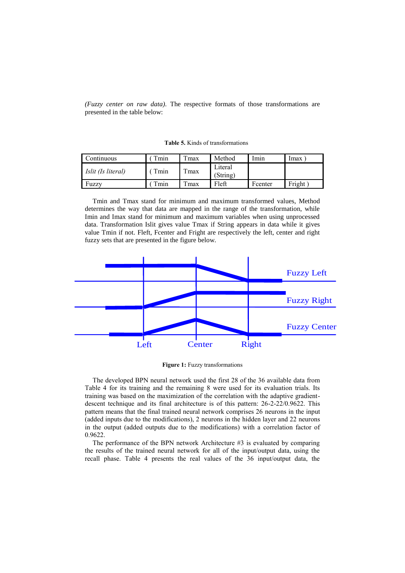*(Fuzzy center on raw data)*. The respective formats of those transformations are presented in the table below:

**Table 5.** Kinds of transformations

| Continuous         | $T_{\text{min}}$ | $T_{\text{max}}$ | Method              | lmın    | <i>lmax</i> |
|--------------------|------------------|------------------|---------------------|---------|-------------|
| Islit (Is literal) | Tmin             | Tmax             | Literal<br>(String) |         |             |
| Fuzzy              | $T_{\text{min}}$ | $T$ max          | Fleft               | Fcenter | Fright      |

Tmin and Tmax stand for minimum and maximum transformed values, Method determines the way that data are mapped in the range of the transformation, while Imin and Imax stand for minimum and maximum variables when using unprocessed data. Transformation Islit gives value Tmax if String appears in data while it gives value Tmin if not. Fleft, Fcenter and Fright are respectively the left, center and right fuzzy sets that are presented in the figure below.



**Figure 1:** Fuzzy transformations

The developed BPN neural network used the first 28 of the 36 available data from Table 4 for its training and the remaining 8 were used for its evaluation trials. Its training was based on the maximization of the correlation with the adaptive gradientdescent technique and its final architecture is of this pattern: 26-2-22/0.9622. This pattern means that the final trained neural network comprises 26 neurons in the input (added inputs due to the modifications), 2 neurons in the hidden layer and 22 neurons in the output (added outputs due to the modifications) with a correlation factor of 0.9622.

The performance of the BPN network Architecture #3 is evaluated by comparing the results of the trained neural network for all of the input/output data, using the recall phase. Table 4 presents the real values of the 36 input/output data, the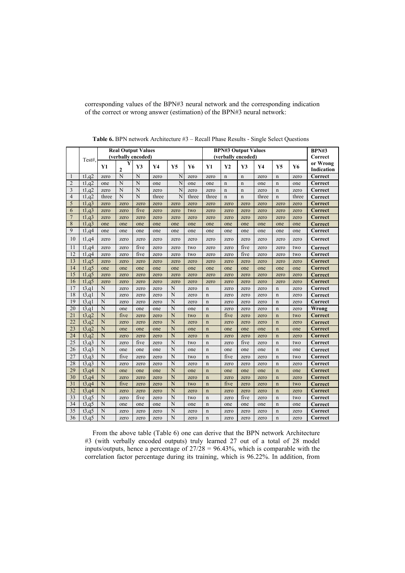|                | <b>Real Output Values</b><br><b>BPN#3 Output Values</b> |                    |                     |                    |       |      |       |             |             |                            |       |                            |       |                        |
|----------------|---------------------------------------------------------|--------------------|---------------------|--------------------|-------|------|-------|-------------|-------------|----------------------------|-------|----------------------------|-------|------------------------|
|                |                                                         |                    |                     |                    |       |      |       |             |             |                            |       |                            |       | <b>BPN#3</b>           |
|                | Test#.                                                  |                    |                     | (verbally encoded) |       |      |       |             |             | (verbally encoded)         |       |                            |       | Correct                |
|                |                                                         | Y1                 | Y<br>$\overline{2}$ | $\mathbf{V}3$      | Y4    | Y5   | Y6    | Y1          | Y2          | Y3                         | Y4    | Y5                         | Y6    | or Wrong<br>Indication |
| 1              | t1,q2                                                   | zero               | N                   | N                  | zero  | N    | zero  | zero        | $\mathbf n$ | n                          | zero  | n                          | zero  | Correct                |
| $\overline{2}$ | t1,q2                                                   | one                | N                   | N                  | one   | N    | one   | one         | $\mathbf n$ | $\mathbf n$                | one   | $\mathbf n$                | one   | Correct                |
| 3              | t1,q2                                                   | zero               | N                   | N                  | zero  | N    | zero  | zero        | $\mathbf n$ |                            | zero  |                            | zero  | Correct                |
| 4              | t1,q2                                                   | three              | N                   | N                  | three | N    | three | three       | $\mathbf n$ | $\mathbf n$<br>$\mathbf n$ | three | $\mathbf n$<br>$\mathbf n$ | three | Correct                |
| 5              | t1,q3                                                   | zero               |                     |                    | zero  | zero |       | zero        | zero        |                            |       | zero                       |       | Correct                |
| 6              | t1,q3                                                   |                    | zero<br>zero        | zero<br>five       | zero  |      | zero  |             |             | zero                       | zero  |                            | zero  | Correct                |
| $\overline{7}$ | t1,q3                                                   | zero               |                     |                    |       | zero | two   | zero        | zero        | zero                       | zero  | zero                       | zero  |                        |
| 8              | t1,q3                                                   | zero               | zero                | zero               | zero  | zero | zero  | zero        | zero        | zero                       | zero  | zero                       | zero  | Correct                |
| 9              | t1,q4                                                   | one                | one                 | one                | one   | one  | one   | one         | one         | one                        | one   | one                        | one   | <b>Correct</b>         |
|                |                                                         | one                | one                 | one                | one   | one  | one   | one         | one         | one                        | one   | one                        | one   | Correct                |
| 10             | t1,q4                                                   | zero               | zero                | zero               | zero  | zero | zero  | zero        | zero        | zero                       | zero  | zero                       | zero  | Correct                |
| 11             | t1,q4                                                   | zero               | zero                | five               | zero  | zero | two   | zero        | zero        | five                       | zero  | zero                       | two   | Correct                |
| 12             | t1,q4                                                   | zero               | zero                | five               | zero  | zero | two   | zero        | zero        | five                       | zero  | zero                       | two   | Correct                |
| 13             | t1,q5                                                   | zero               | zero                | zero               | zero  | zero | zero  | zero        | zero        | zero                       | zero  | zero                       | zero  | Correct                |
| 14             | t1,q5                                                   | one                | one                 | one                | one   | one  | one   | one         | one         | one                        | one   | one                        | one   | Correct                |
| 15             | t1,q5                                                   | zero               | zero                | zero               | zero  | zero | zero  | zero        | zero        | zero                       | zero  | zero                       | zero  | <b>Correct</b>         |
| 16             | t1,q5                                                   | zero               | zero                | zero               | zero  | zero | zero  | zero        | zero        | zero                       | zero  | zero                       | zero  | Correct                |
| 17             | t3,q1                                                   | N                  | zero                | zero               | zero  | N    | zero  | $\mathbf n$ | zero        | zero                       | zero  | $\mathbf n$                | zero  | Correct                |
| 18             | t3,q1                                                   | N                  | zero                | zero               | zero  | N    | zero  | $\mathbf n$ | zero        | zero                       | zero  | $\mathbf n$                | zero  | Correct                |
| 19             | t3,q1                                                   | N                  | zero                | zero               | zero  | N    | zero  | $\mathbf n$ | zero        | zero                       | zero  | $\mathbf n$                | zero  | Correct                |
| 20             | t3,q1                                                   | $\overline{N}$     | one                 | one                | one   | N    | one   | $\mathbf n$ | zero        | zero                       | zero  | $\mathbf n$                | zero  | Wrong                  |
| 21             | t3,q2                                                   | N                  | five                | zero               | zero  | N    | two   | $\mathbf n$ | five        | zero                       | zero  | $\mathbf n$                | two   | Correct                |
| 22             | t3,q2                                                   | N                  | zero                | zero               | zero  | N    | zero  | $\mathbf n$ | zero        | zero                       | zero  | $\mathbf n$                | zero  | Correct                |
| 23             | t3,q2                                                   | N                  | one                 | one                | one   | N    | one   | $\mathbf n$ | one         | one                        | one   | $\mathbf n$                | one   | Correct                |
| 24             | t3,q2                                                   | N                  | zero                | zero               | zero  | N    | zero  | $\mathbf n$ | zero        | zero                       | zero  | $\mathbf n$                | zero  | Correct                |
| 25             | t3,q3                                                   | N                  | zero                | five               | zero  | N    | two   | $\mathbf n$ | zero        | five                       | zero  | $\mathbf n$                | two   | Correct                |
| 26             | t3,q3                                                   | N                  | one                 | one                | one   | N    | one   | $\mathbf n$ | one         | one                        | one   | $\mathbf n$                | one   | Correct                |
| 27             | t3,q3                                                   | $\overline{N}$     | five                | zero               | zero  | N    | two   | $\mathbf n$ | five        | zero                       | zero  | $\mathbf n$                | two   | Correct                |
| 28             | $\overline{t}$ 3,q3                                     | N                  | zero                | zero               | zero  | N    | zero  | $\mathbf n$ | zero        | zero                       | zero  | $\mathbf n$                | zero  | Correct                |
| 29             | t3,q4                                                   | N                  | one                 | one                | one   | N    | one   | $\mathbf n$ | one         | one                        | one   | $\mathbf n$                | one   | Correct                |
| 30             | t3,q4                                                   | N                  | zero                | zero               | zero  | N    | zero  | $\mathbf n$ | zero        | zero                       | zero  | $\mathbf n$                | zero  | <b>Correct</b>         |
| 31             | t3,q4                                                   | N                  | five                | zero               | zero  | N    | two   | $\mathbf n$ | five        | zero                       | zero  | $\mathbf n$                | two   | Correct                |
| 32             | t3,q4                                                   | $\overline{\rm N}$ | zero                | zero               | zero  | N    | zero  | $\mathbf n$ | zero        | zero                       | zero  | $\mathbf n$                | zero  | Correct                |
| 33             | t3,q5                                                   | N                  | zero                | five               | zero  | N    | two   | $\mathbf n$ | zero        | five                       | zero  | $\mathbf n$                | two   | Correct                |
| 34             | t3,q5                                                   | N                  | one                 | one                | one   | N    | one   | $\mathbf n$ | one         | one                        | one   | n                          | one   | Correct                |
| 35             | t3,q5                                                   | N                  | zero                | zero               | zero  | N    | zero  | $\mathbf n$ | zero        | zero                       | zero  | $\mathbf n$                | zero  | Correct                |
| 36             | t3,q5                                                   | N                  | zero                | zero               | zero  | N    | zero  | $\mathbf n$ | zero        | zero                       | zero  | $\mathbf n$                | zero  | Correct                |

**Table 6.** BPN network Architecture #3 – Recall Phase Results - Single Select Questions

corresponding values of the BPN#3 neural network and the corresponding indication

of the correct or wrong answer (estimation) of the BPN#3 neural network:

From the above table (Table 6) one can derive that the BPN network Architecture #3 (with verbally encoded outputs) truly learned 27 out of a total of 28 model inputs/outputs, hence a percentage of 27/28 = 96.43%, which is comparable with the correlation factor percentage during its training, which is 96.22%. In addition, from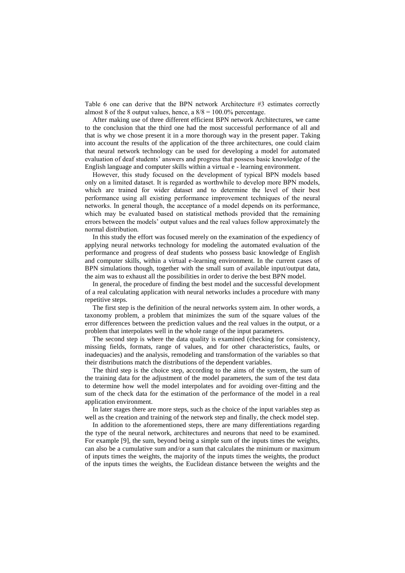Table 6 one can derive that the BPN network Architecture #3 estimates correctly almost 8 of the 8 output values, hence, a  $8/8 = 100.0\%$  percentage.

After making use of three different efficient BPN network Architectures, we came to the conclusion that the third one had the most successful performance of all and that is why we chose present it in a more thorough way in the present paper. Taking into account the results of the application of the three architectures, one could claim that neural network technology can be used for developing a model for automated evaluation of deaf students' answers and progress that possess basic knowledge of the English language and computer skills within a virtual e - learning environment.

However, this study focused on the development of typical BPN models based only on a limited dataset. It is regarded as worthwhile to develop more BPN models, which are trained for wider dataset and to determine the level of their best performance using all existing performance improvement techniques of the neural networks. In general though, the acceptance of a model depends on its performance, which may be evaluated based on statistical methods provided that the remaining errors between the models' output values and the real values follow approximately the normal distribution.

In this study the effort was focused merely on the examination of the expediency of applying neural networks technology for modeling the automated evaluation of the performance and progress of deaf students who possess basic knowledge of English and computer skills, within a virtual e-learning environment. In the current cases of BPN simulations though, together with the small sum of available input/output data, the aim was to exhaust all the possibilities in order to derive the best BPN model.

In general, the procedure of finding the best model and the successful development of a real calculating application with neural networks includes a procedure with many repetitive steps.

The first step is the definition of the neural networks system aim. In other words, a taxonomy problem, a problem that minimizes the sum of the square values of the error differences between the prediction values and the real values in the output, or a problem that interpolates well in the whole range of the input parameters.

The second step is where the data quality is examined (checking for consistency, missing fields, formats, range of values, and for other characteristics, faults, or inadequacies) and the analysis, remodeling and transformation of the variables so that their distributions match the distributions of the dependent variables.

The third step is the choice step, according to the aims of the system, the sum of the training data for the adjustment of the model parameters, the sum of the test data to determine how well the model interpolates and for avoiding over-fitting and the sum of the check data for the estimation of the performance of the model in a real application environment.

In later stages there are more steps, such as the choice of the input variables step as well as the creation and training of the network step and finally, the check model step.

In addition to the aforementioned steps, there are many differentiations regarding the type of the neural network, architectures and neurons that need to be examined. For example [9], the sum, beyond being a simple sum of the inputs times the weights, can also be a cumulative sum and/or a sum that calculates the minimum or maximum of inputs times the weights, the majority of the inputs times the weights, the product of the inputs times the weights, the Euclidean distance between the weights and the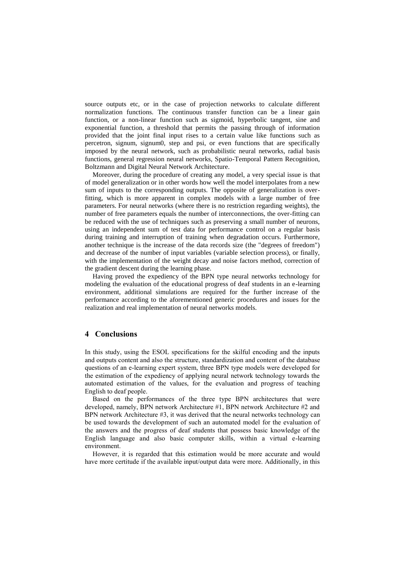source outputs etc, or in the case of projection networks to calculate different normalization functions. The continuous transfer function can be a linear gain function, or a non-linear function such as sigmoid, hyperbolic tangent, sine and exponential function, a threshold that permits the passing through of information provided that the joint final input rises to a certain value like functions such as percetron, signum, signum0, step and psi, or even functions that are specifically imposed by the neural network, such as probabilistic neural networks, radial basis functions, general regression neural networks, Spatio-Temporal Pattern Recognition, Boltzmann and Digital Neural Network Architecture.

Moreover, during the procedure of creating any model, a very special issue is that of model generalization or in other words how well the model interpolates from a new sum of inputs to the corresponding outputs. The opposite of generalization is overfitting, which is more apparent in complex models with a large number of free parameters. For neural networks (where there is no restriction regarding weights), the number of free parameters equals the number of interconnections, the over-fitting can be reduced with the use of techniques such as preserving a small number of neurons, using an independent sum of test data for performance control on a regular basis during training and interruption of training when degradation occurs. Furthermore, another technique is the increase of the data records size (the "degrees of freedom") and decrease of the number of input variables (variable selection process), or finally, with the implementation of the weight decay and noise factors method, correction of the gradient descent during the learning phase.

Having proved the expediency of the BPN type neural networks technology for modeling the evaluation of the educational progress of deaf students in an e-learning environment, additional simulations are required for the further increase of the performance according to the aforementioned generic procedures and issues for the realization and real implementation of neural networks models.

#### **4 Conclusions**

In this study, using the ESOL specifications for the skilful encoding and the inputs and outputs content and also the structure, standardization and content of the database questions of an e-learning expert system, three BPN type models were developed for the estimation of the expediency of applying neural network technology towards the automated estimation of the values, for the evaluation and progress of teaching English to deaf people.

Based on the performances of the three type BPN architectures that were developed, namely, BPN network Architecture #1, BPN network Architecture #2 and BPN network Architecture #3, it was derived that the neural networks technology can be used towards the development of such an automated model for the evaluation of the answers and the progress of deaf students that possess basic knowledge of the English language and also basic computer skills, within a virtual e-learning environment.

However, it is regarded that this estimation would be more accurate and would have more certitude if the available input/output data were more. Additionally, in this